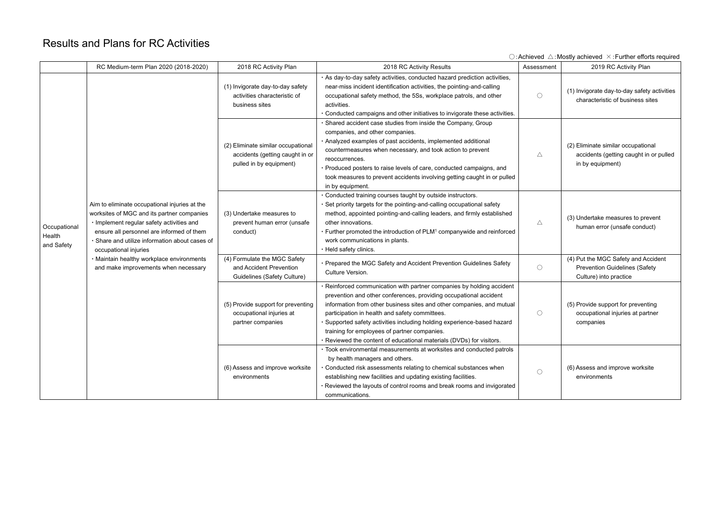## Results and Plans for RC Activities

|                                      |                                                                                                                                                                                                                                                                                                                                                       |                                                                                                  |                                                                                                                                                                                                                                                                                                                                                                                                                                                                          |             | $\cup$ : Achieved $\triangle$ : Mostly achieved $\triangle$ : Further efforts required                |
|--------------------------------------|-------------------------------------------------------------------------------------------------------------------------------------------------------------------------------------------------------------------------------------------------------------------------------------------------------------------------------------------------------|--------------------------------------------------------------------------------------------------|--------------------------------------------------------------------------------------------------------------------------------------------------------------------------------------------------------------------------------------------------------------------------------------------------------------------------------------------------------------------------------------------------------------------------------------------------------------------------|-------------|-------------------------------------------------------------------------------------------------------|
|                                      | RC Medium-term Plan 2020 (2018-2020)                                                                                                                                                                                                                                                                                                                  | 2018 RC Activity Plan                                                                            | 2018 RC Activity Results                                                                                                                                                                                                                                                                                                                                                                                                                                                 | Assessment  | 2019 RC Activity Plan                                                                                 |
| Occupational<br>Health<br>and Safety | Aim to eliminate occupational injuries at the<br>worksites of MGC and its partner companies<br>· Implement regular safety activities and<br>ensure all personnel are informed of them<br>· Share and utilize information about cases of<br>occupational injuries<br>· Maintain healthy workplace environments<br>and make improvements when necessary | (1) Invigorate day-to-day safety<br>activities characteristic of<br>business sites               | · As day-to-day safety activities, conducted hazard prediction activities,<br>near-miss incident identification activities, the pointing-and-calling<br>occupational safety method, the 5Ss, workplace patrols, and other<br>activities.<br>· Conducted campaigns and other initiatives to invigorate these activities.                                                                                                                                                  | $\bigcirc$  | (1) Invigorate day-to-day safety activities<br>characteristic of business sites                       |
|                                      |                                                                                                                                                                                                                                                                                                                                                       | (2) Eliminate similar occupational<br>accidents (getting caught in or<br>pulled in by equipment) | · Shared accident case studies from inside the Company, Group<br>companies, and other companies.<br>· Analyzed examples of past accidents, implemented additional<br>countermeasures when necessary, and took action to prevent<br>reoccurrences.<br>· Produced posters to raise levels of care, conducted campaigns, and<br>took measures to prevent accidents involving getting caught in or pulled<br>in by equipment.                                                | Δ           | (2) Eliminate similar occupational<br>accidents (getting caught in or pulled<br>in by equipment)      |
|                                      |                                                                                                                                                                                                                                                                                                                                                       | (3) Undertake measures to<br>prevent human error (unsafe<br>conduct)                             | · Conducted training courses taught by outside instructors.<br>· Set priority targets for the pointing-and-calling occupational safety<br>method, appointed pointing-and-calling leaders, and firmly established<br>other innovations.<br>• Further promoted the introduction of PLM <sup>1</sup> companywide and reinforced<br>work communications in plants.<br>· Held safety clinics.                                                                                 | $\triangle$ | (3) Undertake measures to prevent<br>human error (unsafe conduct)                                     |
|                                      |                                                                                                                                                                                                                                                                                                                                                       | (4) Formulate the MGC Safety<br>and Accident Prevention<br><b>Guidelines (Safety Culture)</b>    | · Prepared the MGC Safety and Accident Prevention Guidelines Safety<br>Culture Version.                                                                                                                                                                                                                                                                                                                                                                                  | $\bigcirc$  | (4) Put the MGC Safety and Accident<br><b>Prevention Guidelines (Safety</b><br>Culture) into practice |
|                                      |                                                                                                                                                                                                                                                                                                                                                       | (5) Provide support for preventing<br>occupational injuries at<br>partner companies              | · Reinforced communication with partner companies by holding accident<br>prevention and other conferences, providing occupational accident<br>information from other business sites and other companies, and mutual<br>participation in health and safety committees.<br>· Supported safety activities including holding experience-based hazard<br>training for employees of partner companies.<br>· Reviewed the content of educational materials (DVDs) for visitors. | $\bigcirc$  | (5) Provide support for preventing<br>occupational injuries at partner<br>companies                   |
|                                      |                                                                                                                                                                                                                                                                                                                                                       | (6) Assess and improve worksite<br>environments                                                  | · Took environmental measurements at worksites and conducted patrols<br>by health managers and others.<br>· Conducted risk assessments relating to chemical substances when<br>establishing new facilities and updating existing facilities.<br>. Reviewed the layouts of control rooms and break rooms and invigorated<br>communications.                                                                                                                               | $\bigcirc$  | (6) Assess and improve worksite<br>environments                                                       |

 $\bigcap$ : Achieved  $\bigwedge$ : Mostly achieved  $\bigtimes$ : Further efforts required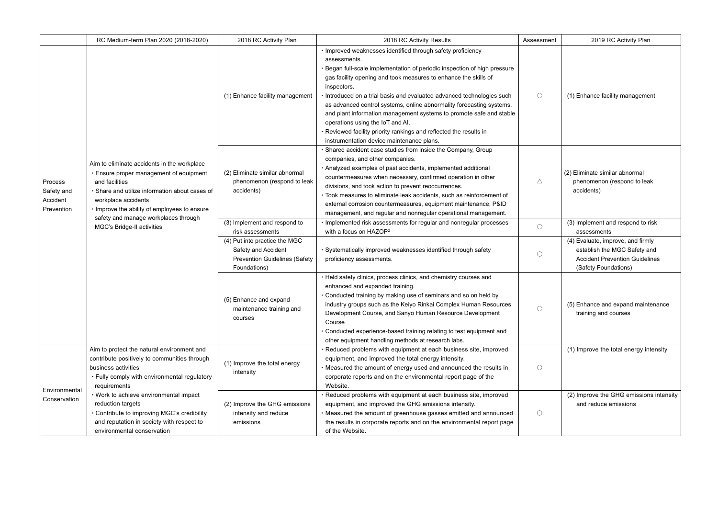|                                                 | RC Medium-term Plan 2020 (2018-2020)                                                                                                                                                                                                                                                                                                                                       | 2018 RC Activity Plan                                                                                        | 2018 RC Activity Results                                                                                                                                                                                                                                                                                                                                                                                                                                                                                                                                                                                                 | Assessment | 2019 RC Activity Plan                                                                                                       |
|-------------------------------------------------|----------------------------------------------------------------------------------------------------------------------------------------------------------------------------------------------------------------------------------------------------------------------------------------------------------------------------------------------------------------------------|--------------------------------------------------------------------------------------------------------------|--------------------------------------------------------------------------------------------------------------------------------------------------------------------------------------------------------------------------------------------------------------------------------------------------------------------------------------------------------------------------------------------------------------------------------------------------------------------------------------------------------------------------------------------------------------------------------------------------------------------------|------------|-----------------------------------------------------------------------------------------------------------------------------|
| Process<br>Safety and<br>Accident<br>Prevention | Aim to eliminate accidents in the workplace<br>· Ensure proper management of equipment<br>and facilities<br>· Share and utilize information about cases of<br>workplace accidents<br>· Improve the ability of employees to ensure<br>safety and manage workplaces through<br>MGC's Bridge-II activities                                                                    | (1) Enhance facility management                                                                              | · Improved weaknesses identified through safety proficiency<br>assessments.<br>Began full-scale implementation of periodic inspection of high pressure<br>gas facility opening and took measures to enhance the skills of<br>inspectors.<br>· Introduced on a trial basis and evaluated advanced technologies such<br>as advanced control systems, online abnormality forecasting systems,<br>and plant information management systems to promote safe and stable<br>operations using the IoT and AI.<br>· Reviewed facility priority rankings and reflected the results in<br>instrumentation device maintenance plans. | $\bigcirc$ | (1) Enhance facility manageme                                                                                               |
|                                                 |                                                                                                                                                                                                                                                                                                                                                                            | (2) Eliminate similar abnormal<br>phenomenon (respond to leak<br>accidents)                                  | Shared accident case studies from inside the Company, Group<br>companies, and other companies.<br>· Analyzed examples of past accidents, implemented additional<br>countermeasures when necessary, confirmed operation in other<br>divisions, and took action to prevent reoccurrences.<br>· Took measures to eliminate leak accidents, such as reinforcement of<br>external corrosion countermeasures, equipment maintenance, P&ID<br>management, and regular and nonregular operational management.                                                                                                                    | Δ          | (2) Eliminate similar abnormal<br>phenomenon (respond to lea<br>accidents)                                                  |
|                                                 |                                                                                                                                                                                                                                                                                                                                                                            | (3) Implement and respond to<br>risk assessments                                                             | · Implemented risk assessments for regular and nonregular processes<br>with a focus on HAZOP <sup>2</sup>                                                                                                                                                                                                                                                                                                                                                                                                                                                                                                                | $\bigcirc$ | (3) Implement and respond to r<br>assessments                                                                               |
|                                                 |                                                                                                                                                                                                                                                                                                                                                                            | (4) Put into practice the MGC<br>Safety and Accident<br><b>Prevention Guidelines (Safety</b><br>Foundations) | · Systematically improved weaknesses identified through safety<br>proficiency assessments.                                                                                                                                                                                                                                                                                                                                                                                                                                                                                                                               | $\bigcirc$ | (4) Evaluate, improve, and firm<br>establish the MGC Safety a<br><b>Accident Prevention Guideli</b><br>(Safety Foundations) |
|                                                 |                                                                                                                                                                                                                                                                                                                                                                            | (5) Enhance and expand<br>maintenance training and<br>courses                                                | · Held safety clinics, process clinics, and chemistry courses and<br>enhanced and expanded training.<br>• Conducted training by making use of seminars and so on held by<br>industry groups such as the Keiyo Rinkai Complex Human Resources<br>Development Course, and Sanyo Human Resource Development<br>Course<br>· Conducted experience-based training relating to test equipment and<br>other equipment handling methods at research labs.                                                                                                                                                                         | $\bigcirc$ | (5) Enhance and expand maint<br>training and courses                                                                        |
| Environmental<br>Conservation                   | Aim to protect the natural environment and<br>contribute positively to communities through<br>business activities<br>. Fully comply with environmental regulatory<br>requirements<br>• Work to achieve environmental impact<br>reduction targets<br>· Contribute to improving MGC's credibility<br>and reputation in society with respect to<br>environmental conservation | (1) Improve the total energy<br>intensity                                                                    | · Reduced problems with equipment at each business site, improved<br>equipment, and improved the total energy intensity.<br>. Measured the amount of energy used and announced the results in<br>corporate reports and on the environmental report page of the<br>Website.                                                                                                                                                                                                                                                                                                                                               | $\bigcirc$ | (1) Improve the total energy in                                                                                             |
|                                                 |                                                                                                                                                                                                                                                                                                                                                                            | (2) Improve the GHG emissions<br>intensity and reduce<br>emissions                                           | · Reduced problems with equipment at each business site, improved<br>equipment, and improved the GHG emissions intensity.<br>. Measured the amount of greenhouse gasses emitted and announced<br>the results in corporate reports and on the environmental report page<br>of the Website.                                                                                                                                                                                                                                                                                                                                | $\bigcirc$ | (2) Improve the GHG emission<br>and reduce emissions                                                                        |

| ssment     | 2019 RC Activity Plan                                                                                                              |
|------------|------------------------------------------------------------------------------------------------------------------------------------|
|            | (1) Enhance facility management                                                                                                    |
|            | (2) Eliminate similar abnormal<br>phenomenon (respond to leak<br>accidents)                                                        |
| $\bigcirc$ | (3) Implement and respond to risk<br>assessments                                                                                   |
| $(\cdot)$  | (4) Evaluate, improve, and firmly<br>establish the MGC Safety and<br><b>Accident Prevention Guidelines</b><br>(Safety Foundations) |
| ⊖          | (5) Enhance and expand maintenance<br>training and courses                                                                         |
|            | (1) Improve the total energy intensity                                                                                             |
|            | (2) Improve the GHG emissions intensity<br>and reduce emissions                                                                    |
|            |                                                                                                                                    |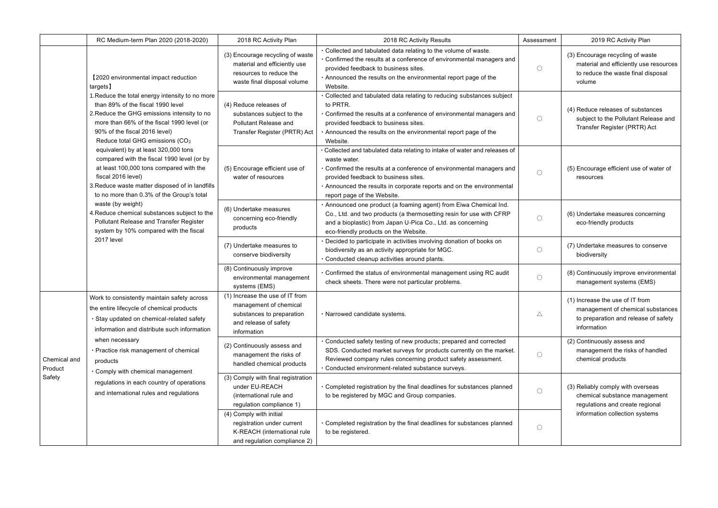|                                                                                                                                                                                                                                                                                                                                                                                                                                                                                                                                                                                                                                                                                                                                                             | RC Medium-term Plan 2020 (2018-2020)                                                                                                                                                              | 2018 RC Activity Plan                                                                                                                                                                                                                                                                                           | 2018 RC Activity Results                                                                                                                                                                                                                                      | Assessment                                                                                          | 2019 RC Activity Plan                                                                                             |
|-------------------------------------------------------------------------------------------------------------------------------------------------------------------------------------------------------------------------------------------------------------------------------------------------------------------------------------------------------------------------------------------------------------------------------------------------------------------------------------------------------------------------------------------------------------------------------------------------------------------------------------------------------------------------------------------------------------------------------------------------------------|---------------------------------------------------------------------------------------------------------------------------------------------------------------------------------------------------|-----------------------------------------------------------------------------------------------------------------------------------------------------------------------------------------------------------------------------------------------------------------------------------------------------------------|---------------------------------------------------------------------------------------------------------------------------------------------------------------------------------------------------------------------------------------------------------------|-----------------------------------------------------------------------------------------------------|-------------------------------------------------------------------------------------------------------------------|
| [2020 environmental impact reduction<br>targets]<br>1. Reduce the total energy intensity to no more<br>than 89% of the fiscal 1990 level<br>2. Reduce the GHG emissions intensity to no<br>more than 66% of the fiscal 1990 level (or<br>90% of the fiscal 2016 level)<br>Reduce total GHG emissions (CO <sub>2</sub><br>equivalent) by at least 320,000 tons<br>compared with the fiscal 1990 level (or by<br>at least 100,000 tons compared with the<br>fiscal 2016 level)<br>3. Reduce waste matter disposed of in landfills<br>to no more than 0.3% of the Group's total<br>waste (by weight)<br>4. Reduce chemical substances subject to the<br>Pollutant Release and Transfer Register<br>system by 10% compared with the fiscal<br><b>2017 level</b> |                                                                                                                                                                                                   | (3) Encourage recycling of waste<br>material and efficiently use<br>resources to reduce the<br>waste final disposal volume                                                                                                                                                                                      | . Collected and tabulated data relating to the volume of waste.<br>Confirmed the results at a conference of environmental managers and<br>provided feedback to business sites.<br>Announced the results on the environmental report page of the<br>Website.   | $\bigcirc$                                                                                          | (3) Encourage recycling of waste<br>material and efficiently use res<br>to reduce the waste final dispo<br>volume |
|                                                                                                                                                                                                                                                                                                                                                                                                                                                                                                                                                                                                                                                                                                                                                             | (4) Reduce releases of<br>substances subject to the<br>Pollutant Release and<br>Transfer Register (PRTR) Act                                                                                      | · Collected and tabulated data relating to reducing substances subject<br>to PRTR.<br>• Confirmed the results at a conference of environmental managers and<br>provided feedback to business sites.<br>Announced the results on the environmental report page of the<br>Website.                                | $\bigcirc$                                                                                                                                                                                                                                                    | (4) Reduce releases of substance<br>subject to the Pollutant Releas<br>Transfer Register (PRTR) Act |                                                                                                                   |
|                                                                                                                                                                                                                                                                                                                                                                                                                                                                                                                                                                                                                                                                                                                                                             | (5) Encourage efficient use of<br>water of resources                                                                                                                                              | Collected and tabulated data relating to intake of water and releases of<br>waste water.<br>Confirmed the results at a conference of environmental managers and<br>provided feedback to business sites.<br>. Announced the results in corporate reports and on the environmental<br>report page of the Website. | $\bigcirc$                                                                                                                                                                                                                                                    | (5) Encourage efficient use of wat<br>resources                                                     |                                                                                                                   |
|                                                                                                                                                                                                                                                                                                                                                                                                                                                                                                                                                                                                                                                                                                                                                             |                                                                                                                                                                                                   | (6) Undertake measures<br>concerning eco-friendly<br>products                                                                                                                                                                                                                                                   | Announced one product (a foaming agent) from Eiwa Chemical Ind.<br>Co., Ltd. and two products (a thermosetting resin for use with CFRP<br>and a bioplastic) from Japan U-Pica Co., Ltd. as concerning<br>eco-friendly products on the Website.                | $\bigcirc$                                                                                          | (6) Undertake measures concerni<br>eco-friendly products                                                          |
|                                                                                                                                                                                                                                                                                                                                                                                                                                                                                                                                                                                                                                                                                                                                                             |                                                                                                                                                                                                   | (7) Undertake measures to<br>conserve biodiversity                                                                                                                                                                                                                                                              | Decided to participate in activities involving donation of books on<br>biodiversity as an activity appropriate for MGC.<br>Conducted cleanup activities around plants.                                                                                        | $\bigcirc$                                                                                          | (7) Undertake measures to conse<br>biodiversity                                                                   |
|                                                                                                                                                                                                                                                                                                                                                                                                                                                                                                                                                                                                                                                                                                                                                             | (8) Continuously improve<br>environmental management<br>systems (EMS)                                                                                                                             | Confirmed the status of environmental management using RC audit<br>check sheets. There were not particular problems.                                                                                                                                                                                            | $\bigcirc$                                                                                                                                                                                                                                                    | (8) Continuously improve environ<br>management systems (EMS)                                        |                                                                                                                   |
|                                                                                                                                                                                                                                                                                                                                                                                                                                                                                                                                                                                                                                                                                                                                                             | Work to consistently maintain safety across<br>the entire lifecycle of chemical products<br>· Stay updated on chemical-related safety<br>information and distribute such information              | (1) Increase the use of IT from<br>management of chemical<br>substances to preparation<br>and release of safety<br>information                                                                                                                                                                                  | · Narrowed candidate systems.                                                                                                                                                                                                                                 | $\triangle$                                                                                         | (1) Increase the use of IT from<br>management of chemical subs<br>to preparation and release of a<br>information  |
| Chemical and<br>Product<br>Safety                                                                                                                                                                                                                                                                                                                                                                                                                                                                                                                                                                                                                                                                                                                           | when necessary<br>· Practice risk management of chemical<br>products<br>. Comply with chemical management<br>regulations in each country of operations<br>and international rules and regulations | (2) Continuously assess and<br>management the risks of<br>handled chemical products                                                                                                                                                                                                                             | Conducted safety testing of new products; prepared and corrected<br>SDS. Conducted market surveys for products currently on the market.<br>Reviewed company rules concerning product safety assessment.<br>· Conducted environment-related substance surveys. | $\bigcirc$                                                                                          | (2) Continuously assess and<br>management the risks of hand<br>chemical products                                  |
|                                                                                                                                                                                                                                                                                                                                                                                                                                                                                                                                                                                                                                                                                                                                                             |                                                                                                                                                                                                   | (3) Comply with final registration<br>under EU-REACH<br>(international rule and<br>regulation compliance 1)                                                                                                                                                                                                     | · Completed registration by the final deadlines for substances planned<br>to be registered by MGC and Group companies.                                                                                                                                        | $\bigcirc$                                                                                          | (3) Reliably comply with overseas<br>chemical substance managem<br>regulations and create regiona                 |
|                                                                                                                                                                                                                                                                                                                                                                                                                                                                                                                                                                                                                                                                                                                                                             |                                                                                                                                                                                                   | (4) Comply with initial<br>registration under current<br>K-REACH (international rule<br>and regulation compliance 2)                                                                                                                                                                                            | Completed registration by the final deadlines for substances planned<br>to be registered.                                                                                                                                                                     | $\bigcirc$                                                                                          | information collection systems                                                                                    |

| ment | 2019 RC Activity Plan                                                                                                                   |
|------|-----------------------------------------------------------------------------------------------------------------------------------------|
|      | (3) Encourage recycling of waste<br>material and efficiently use resources<br>to reduce the waste final disposal<br>volume              |
|      | (4) Reduce releases of substances<br>subject to the Pollutant Release and<br>Transfer Register (PRTR) Act                               |
|      | (5) Encourage efficient use of water of<br>resources                                                                                    |
|      | (6) Undertake measures concerning<br>eco-friendly products                                                                              |
|      | (7) Undertake measures to conserve<br>biodiversity                                                                                      |
|      | (8) Continuously improve environmental<br>management systems (EMS)                                                                      |
|      | (1) Increase the use of IT from<br>management of chemical substances<br>to preparation and release of safety<br>information             |
|      | (2) Continuously assess and<br>management the risks of handled<br>chemical products                                                     |
|      | (3) Reliably comply with overseas<br>chemical substance management<br>regulations and create regional<br>information collection systems |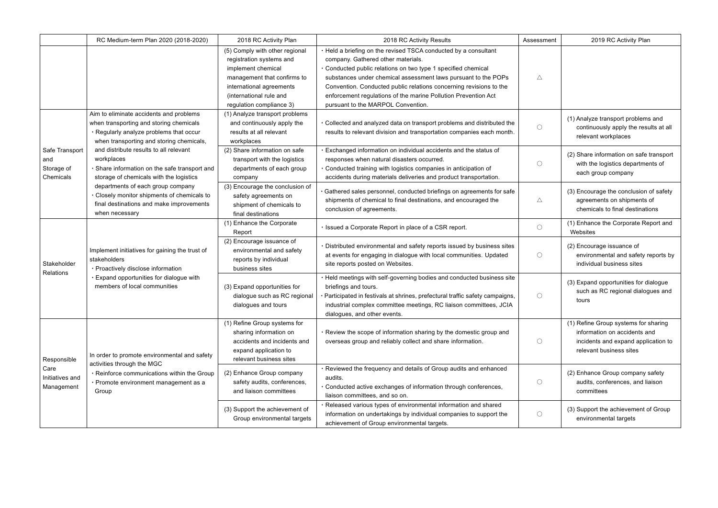|                                                      | RC Medium-term Plan 2020 (2018-2020)                                                                                                                                                                                                                                                           | 2018 RC Activity Plan                                                                                                                                                                              | 2018 RC Activity Results                                                                                                                                                                                                                                                                                                                                                                                               | Assessment      | 2019 RC Activity Plan                                                                                                  |
|------------------------------------------------------|------------------------------------------------------------------------------------------------------------------------------------------------------------------------------------------------------------------------------------------------------------------------------------------------|----------------------------------------------------------------------------------------------------------------------------------------------------------------------------------------------------|------------------------------------------------------------------------------------------------------------------------------------------------------------------------------------------------------------------------------------------------------------------------------------------------------------------------------------------------------------------------------------------------------------------------|-----------------|------------------------------------------------------------------------------------------------------------------------|
|                                                      |                                                                                                                                                                                                                                                                                                | (5) Comply with other regional<br>registration systems and<br>implement chemical<br>management that confirms to<br>international agreements<br>(international rule and<br>regulation compliance 3) | • Held a briefing on the revised TSCA conducted by a consultant<br>company. Gathered other materials.<br>· Conducted public relations on two type 1 specified chemical<br>substances under chemical assessment laws pursuant to the POPs<br>Convention. Conducted public relations concerning revisions to the<br>enforcement regulations of the marine Pollution Prevention Act<br>pursuant to the MARPOL Convention. | $\triangle$     |                                                                                                                        |
|                                                      | Aim to eliminate accidents and problems<br>when transporting and storing chemicals<br>. Regularly analyze problems that occur<br>when transporting and storing chemicals,                                                                                                                      | (1) Analyze transport problems<br>and continuously apply the<br>results at all relevant<br>workplaces                                                                                              | . Collected and analyzed data on transport problems and distributed the<br>results to relevant division and transportation companies each month.                                                                                                                                                                                                                                                                       | $\bigcirc$      | (1) Analyze transport problems<br>continuously apply the resu<br>relevant workplaces                                   |
| Safe Transport<br>and<br>Storage of<br>Chemicals     | and distribute results to all relevant<br>workplaces<br>Share information on the safe transport and<br>storage of chemicals with the logistics<br>departments of each group company<br>Closely monitor shipments of chemicals to<br>final destinations and make improvements<br>when necessary | (2) Share information on safe<br>transport with the logistics<br>departments of each group<br>company                                                                                              | · Exchanged information on individual accidents and the status of<br>responses when natural disasters occurred.<br>· Conducted training with logistics companies in anticipation of<br>accidents during materials deliveries and product transportation.                                                                                                                                                               | $\left(\right)$ | (2) Share information on safe<br>with the logistics departmer<br>each group company                                    |
|                                                      |                                                                                                                                                                                                                                                                                                | (3) Encourage the conclusion of<br>safety agreements on<br>shipment of chemicals to<br>final destinations                                                                                          | Gathered sales personnel, conducted briefings on agreements for safe<br>shipments of chemical to final destinations, and encouraged the<br>conclusion of agreements.                                                                                                                                                                                                                                                   | $\triangle$     | (3) Encourage the conclusion<br>agreements on shipments<br>chemicals to final destination                              |
|                                                      | Implement initiatives for gaining the trust of<br>stakeholders<br>· Proactively disclose information<br>Expand opportunities for dialogue with<br>members of local communities                                                                                                                 | (1) Enhance the Corporate<br>Report                                                                                                                                                                | · Issued a Corporate Report in place of a CSR report.                                                                                                                                                                                                                                                                                                                                                                  | $\bigcirc$      | (1) Enhance the Corporate Re<br>Websites                                                                               |
| Stakeholder<br>Relations                             |                                                                                                                                                                                                                                                                                                | (2) Encourage issuance of<br>environmental and safety<br>reports by individual<br>business sites                                                                                                   | · Distributed environmental and safety reports issued by business sites<br>at events for engaging in dialogue with local communities. Updated<br>site reports posted on Websites.                                                                                                                                                                                                                                      | $\bigcirc$      | (2) Encourage issuance of<br>environmental and safety re<br>individual business sites                                  |
|                                                      |                                                                                                                                                                                                                                                                                                | (3) Expand opportunities for<br>dialogue such as RC regional<br>dialogues and tours                                                                                                                | . Held meetings with self-governing bodies and conducted business site<br>briefings and tours.<br>Participated in festivals at shrines, prefectural traffic safety campaigns,<br>industrial complex committee meetings, RC liaison committees, JCIA<br>dialogues, and other events.                                                                                                                                    | $\bigcirc$      | (3) Expand opportunities for di<br>such as RC regional dialog<br>tours                                                 |
| Responsible<br>Care<br>Initiatives and<br>Management | In order to promote environmental and safety<br>activities through the MGC<br>· Reinforce communications within the Group<br>· Promote environment management as a<br>Group                                                                                                                    | (1) Refine Group systems for<br>sharing information on<br>accidents and incidents and<br>expand application to<br>relevant business sites                                                          | . Review the scope of information sharing by the domestic group and<br>overseas group and reliably collect and share information.                                                                                                                                                                                                                                                                                      | $\bigcirc$      | (1) Refine Group systems for s<br>information on accidents ar<br>incidents and expand appli<br>relevant business sites |
|                                                      |                                                                                                                                                                                                                                                                                                | (2) Enhance Group company<br>safety audits, conferences,<br>and liaison committees                                                                                                                 | · Reviewed the frequency and details of Group audits and enhanced<br>audits.<br>· Conducted active exchanges of information through conferences,<br>liaison committees, and so on.                                                                                                                                                                                                                                     | $\bigcirc$      | (2) Enhance Group company s<br>audits, conferences, and lia<br>committees                                              |
|                                                      |                                                                                                                                                                                                                                                                                                | (3) Support the achievement of<br>Group environmental targets                                                                                                                                      | · Released various types of environmental information and shared<br>information on undertakings by individual companies to support the<br>achievement of Group environmental targets.                                                                                                                                                                                                                                  | $\bigcirc$      | (3) Support the achievement o<br>environmental targets                                                                 |

| ment | 2019 RC Activity Plan                                                                                                                  |
|------|----------------------------------------------------------------------------------------------------------------------------------------|
|      |                                                                                                                                        |
|      |                                                                                                                                        |
|      | (1) Analyze transport problems and<br>continuously apply the results at all<br>relevant workplaces                                     |
|      | (2) Share information on safe transport<br>with the logistics departments of<br>each group company                                     |
|      | (3) Encourage the conclusion of safety<br>agreements on shipments of<br>chemicals to final destinations                                |
|      | (1) Enhance the Corporate Report and<br>Websites                                                                                       |
|      | (2) Encourage issuance of<br>environmental and safety reports by<br>individual business sites                                          |
|      | (3) Expand opportunities for dialogue<br>such as RC regional dialogues and<br>tours                                                    |
|      | (1) Refine Group systems for sharing<br>information on accidents and<br>incidents and expand application to<br>relevant business sites |
|      | (2) Enhance Group company safety<br>audits, conferences, and liaison<br>committees                                                     |
|      | (3) Support the achievement of Group<br>environmental targets                                                                          |